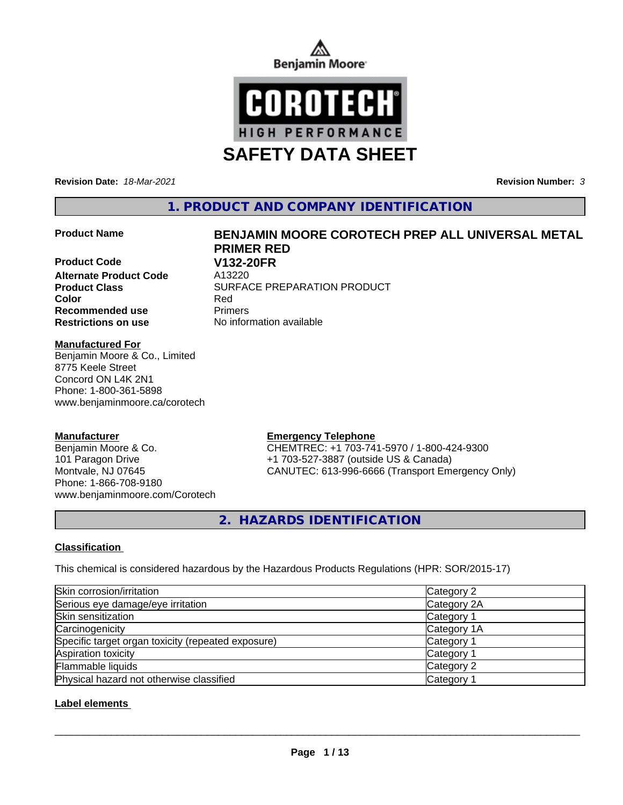



**Revision Date:** *18-Mar-2021* **Revision Number:** *3*

**1. PRODUCT AND COMPANY IDENTIFICATION**

# **Product Name BENJAMIN MOORE COROTECH PREP ALL UNIVERSAL METAL**

**Product Code V132-20FR Alternate Product Code** A13220 **Recommended use** Primers

# **Product Class SURFACE PREPARATION PRODUCT Color** Red **Restrictions on use** No information available

**PRIMER RED**

# **Manufactured For**

Benjamin Moore & Co., Limited 8775 Keele Street Concord ON L4K 2N1 Phone: 1-800-361-5898 www.benjaminmoore.ca/corotech

# **Manufacturer**

Benjamin Moore & Co. 101 Paragon Drive Montvale, NJ 07645 Phone: 1-866-708-9180 www.benjaminmoore.com/Corotech

# **Emergency Telephone**

CHEMTREC: +1 703-741-5970 / 1-800-424-9300 +1 703-527-3887 (outside US & Canada) CANUTEC: 613-996-6666 (Transport Emergency Only)

**2. HAZARDS IDENTIFICATION**

# **Classification**

This chemical is considered hazardous by the Hazardous Products Regulations (HPR: SOR/2015-17)

| Skin corrosion/irritation                          | Category 2            |
|----------------------------------------------------|-----------------------|
| Serious eye damage/eye irritation                  | Category 2A           |
| Skin sensitization                                 | Category 1            |
| Carcinogenicity                                    | Category 1A           |
| Specific target organ toxicity (repeated exposure) | Category 1            |
| Aspiration toxicity                                | Category 1            |
| Flammable liquids                                  | Category 2            |
| Physical hazard not otherwise classified           | Category <sup>2</sup> |

# **Label elements**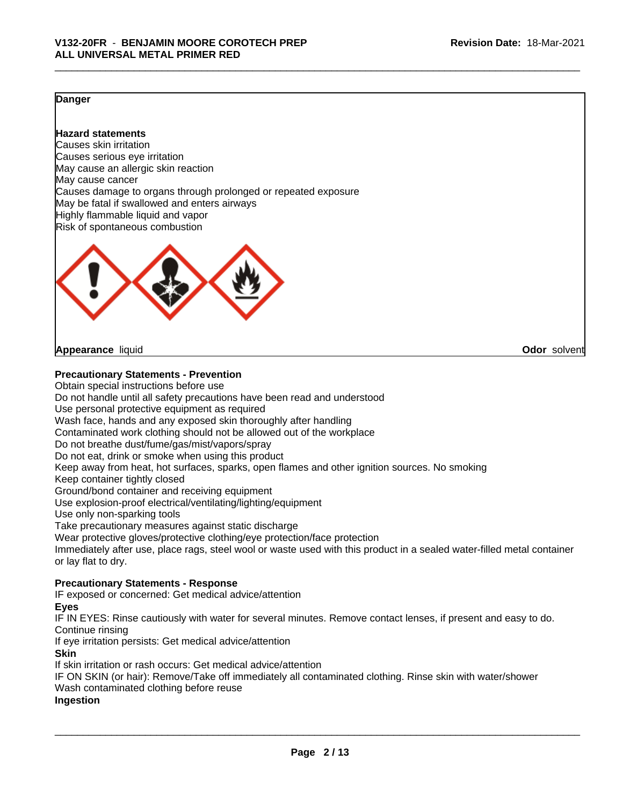# **Danger**

# **Hazard statements**

Causes skin irritation Causes serious eye irritation May cause an allergic skin reaction May cause cancer Causes damage to organs through prolonged or repeated exposure May be fatal if swallowed and enters airways Highly flammable liquid and vapor Risk of spontaneous combustion



**Appearance** liquid **Odor** solvent

# **Precautionary Statements - Prevention**

Obtain special instructions before use

Do not handle until all safety precautions have been read and understood

Use personal protective equipment as required

Wash face, hands and any exposed skin thoroughly after handling

Contaminated work clothing should not be allowed out of the workplace

Do not breathe dust/fume/gas/mist/vapors/spray

Do not eat, drink or smoke when using this product

Keep away from heat, hot surfaces, sparks, open flames and other ignition sources. No smoking

Keep container tightly closed

Ground/bond container and receiving equipment

Use explosion-proof electrical/ventilating/lighting/equipment

Use only non-sparking tools

Take precautionary measures against static discharge

Wear protective gloves/protective clothing/eye protection/face protection

Immediately after use, place rags, steel wool or waste used with this product in a sealed water-filled metal container or lay flat to dry.

# **Precautionary Statements - Response**

IF exposed or concerned: Get medical advice/attention

**Eyes**

IF IN EYES: Rinse cautiously with water for several minutes. Remove contact lenses, if present and easy to do. Continue rinsing

If eye irritation persists: Get medical advice/attention

**Skin**

If skin irritation or rash occurs: Get medical advice/attention

IF ON SKIN (or hair): Remove/Take off immediately all contaminated clothing. Rinse skin with water/shower Wash contaminated clothing before reuse

# **Ingestion**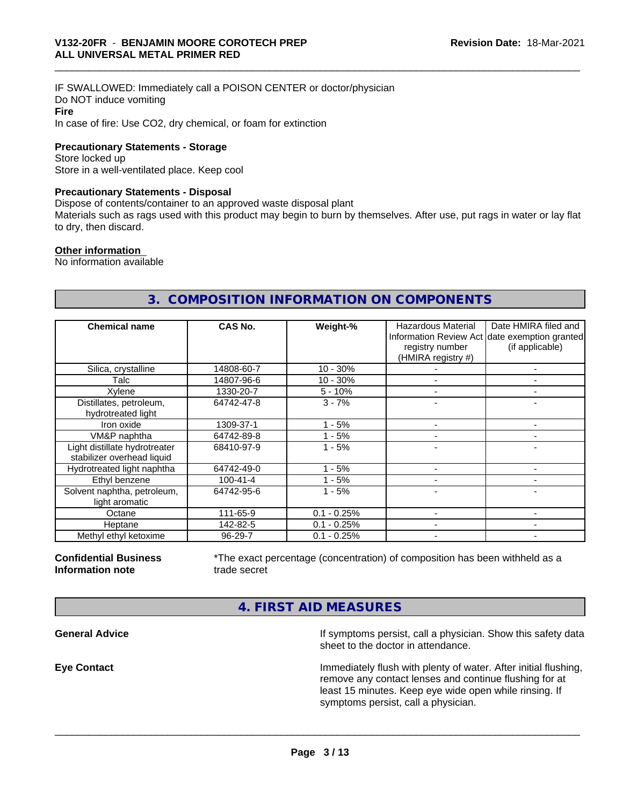IF SWALLOWED: Immediately call a POISON CENTER or doctor/physician Do NOT induce vomiting **Fire** In case of fire: Use CO2, dry chemical, or foam for extinction

**Precautionary Statements - Storage**

Store locked up Store in a well-ventilated place. Keep cool

# **Precautionary Statements - Disposal**

Dispose of contents/container to an approved waste disposal plant

Materials such as rags used with this product may begin to burn by themselves. After use, put rags in water or lay flat to dry, then discard.

#### **Other information**

No information available

# **3. COMPOSITION INFORMATION ON COMPONENTS**

| <b>Chemical name</b>                                        | CAS No.        | Weight-%      | <b>Hazardous Material</b><br>registry number<br>(HMIRA registry #) | Date HMIRA filed and<br>Information Review Act date exemption granted<br>(if applicable) |
|-------------------------------------------------------------|----------------|---------------|--------------------------------------------------------------------|------------------------------------------------------------------------------------------|
| Silica, crystalline                                         | 14808-60-7     | $10 - 30%$    |                                                                    |                                                                                          |
| Talc                                                        | 14807-96-6     | $10 - 30%$    |                                                                    |                                                                                          |
| Xylene                                                      | 1330-20-7      | $5 - 10%$     |                                                                    |                                                                                          |
| Distillates, petroleum,<br>hydrotreated light               | 64742-47-8     | $3 - 7%$      |                                                                    |                                                                                          |
| Iron oxide                                                  | 1309-37-1      | - 5%          |                                                                    |                                                                                          |
| VM&P naphtha                                                | 64742-89-8     | $1 - 5%$      |                                                                    |                                                                                          |
| Light distillate hydrotreater<br>stabilizer overhead liquid | 68410-97-9     | $1 - 5%$      |                                                                    |                                                                                          |
| Hydrotreated light naphtha                                  | 64742-49-0     | - 5%          |                                                                    |                                                                                          |
| Ethyl benzene                                               | $100 - 41 - 4$ | $1 - 5%$      |                                                                    |                                                                                          |
| Solvent naphtha, petroleum,<br>light aromatic               | 64742-95-6     | $1 - 5%$      |                                                                    |                                                                                          |
| Octane                                                      | 111-65-9       | $0.1 - 0.25%$ |                                                                    |                                                                                          |
| Heptane                                                     | 142-82-5       | $0.1 - 0.25%$ |                                                                    |                                                                                          |
| Methyl ethyl ketoxime                                       | 96-29-7        | $0.1 - 0.25%$ |                                                                    |                                                                                          |

#### **Confidential Business Information note**

\*The exact percentage (concentration) of composition has been withheld as a trade secret

 $\overline{\phantom{a}}$  ,  $\overline{\phantom{a}}$  ,  $\overline{\phantom{a}}$  ,  $\overline{\phantom{a}}$  ,  $\overline{\phantom{a}}$  ,  $\overline{\phantom{a}}$  ,  $\overline{\phantom{a}}$  ,  $\overline{\phantom{a}}$  ,  $\overline{\phantom{a}}$  ,  $\overline{\phantom{a}}$  ,  $\overline{\phantom{a}}$  ,  $\overline{\phantom{a}}$  ,  $\overline{\phantom{a}}$  ,  $\overline{\phantom{a}}$  ,  $\overline{\phantom{a}}$  ,  $\overline{\phantom{a}}$ 

**4. FIRST AID MEASURES**

**General Advice If symptoms persist, call a physician. Show this safety data If** symptoms persist, call a physician. Show this safety data sheet to the doctor in attendance.

**Eye Contact Immediately flush with plenty of water. After initial flushing,** remove any contact lenses and continue flushing for at least 15 minutes. Keep eye wide open while rinsing. If symptoms persist, call a physician.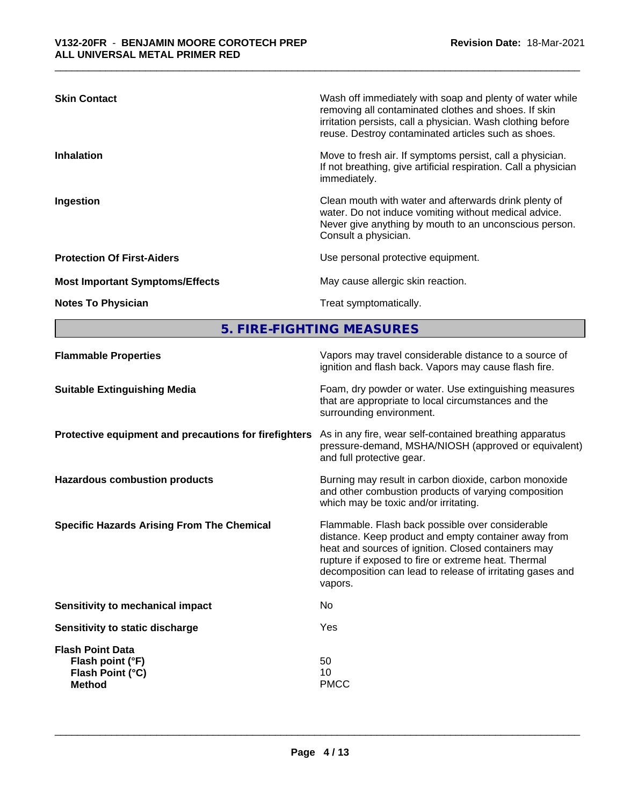| <b>Skin Contact</b>                    | Wash off immediately with soap and plenty of water while<br>removing all contaminated clothes and shoes. If skin<br>irritation persists, call a physician. Wash clothing before<br>reuse. Destroy contaminated articles such as shoes. |
|----------------------------------------|----------------------------------------------------------------------------------------------------------------------------------------------------------------------------------------------------------------------------------------|
| <b>Inhalation</b>                      | Move to fresh air. If symptoms persist, call a physician.<br>If not breathing, give artificial respiration. Call a physician<br>immediately.                                                                                           |
| Ingestion                              | Clean mouth with water and afterwards drink plenty of<br>water. Do not induce vomiting without medical advice.<br>Never give anything by mouth to an unconscious person.<br>Consult a physician.                                       |
| <b>Protection Of First-Aiders</b>      | Use personal protective equipment.                                                                                                                                                                                                     |
| <b>Most Important Symptoms/Effects</b> | May cause allergic skin reaction.                                                                                                                                                                                                      |
| <b>Notes To Physician</b>              | Treat symptomatically.                                                                                                                                                                                                                 |

**5. FIRE-FIGHTING MEASURES**

| <b>Flammable Properties</b>                                                      | Vapors may travel considerable distance to a source of<br>ignition and flash back. Vapors may cause flash fire.                                                                                                                                                                                |
|----------------------------------------------------------------------------------|------------------------------------------------------------------------------------------------------------------------------------------------------------------------------------------------------------------------------------------------------------------------------------------------|
| <b>Suitable Extinguishing Media</b>                                              | Foam, dry powder or water. Use extinguishing measures<br>that are appropriate to local circumstances and the<br>surrounding environment.                                                                                                                                                       |
| Protective equipment and precautions for firefighters                            | As in any fire, wear self-contained breathing apparatus<br>pressure-demand, MSHA/NIOSH (approved or equivalent)<br>and full protective gear.                                                                                                                                                   |
| <b>Hazardous combustion products</b>                                             | Burning may result in carbon dioxide, carbon monoxide<br>and other combustion products of varying composition<br>which may be toxic and/or irritating.                                                                                                                                         |
| <b>Specific Hazards Arising From The Chemical</b>                                | Flammable. Flash back possible over considerable<br>distance. Keep product and empty container away from<br>heat and sources of ignition. Closed containers may<br>rupture if exposed to fire or extreme heat. Thermal<br>decomposition can lead to release of irritating gases and<br>vapors. |
| Sensitivity to mechanical impact                                                 | No.                                                                                                                                                                                                                                                                                            |
| Sensitivity to static discharge                                                  | Yes                                                                                                                                                                                                                                                                                            |
| <b>Flash Point Data</b><br>Flash point (°F)<br>Flash Point (°C)<br><b>Method</b> | 50<br>10<br><b>PMCC</b>                                                                                                                                                                                                                                                                        |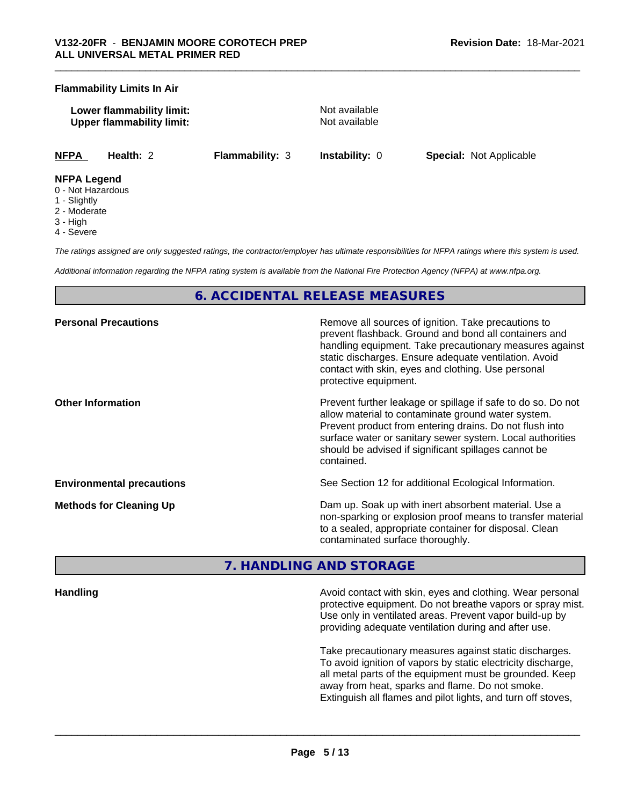# **Flammability Limits In Air**

**Lower flammability limit:** Not available **Upper flammability limit:** Not available

**NFPA Health:** 2 **Flammability:** 3 **Instability:** 0 **Special:** Not Applicable

### **NFPA Legend**

- 0 Not Hazardous
- 1 Slightly
- 2 Moderate
- 3 High
- 4 Severe

*The ratings assigned are only suggested ratings, the contractor/employer has ultimate responsibilities for NFPA ratings where this system is used.*

*Additional information regarding the NFPA rating system is available from the National Fire Protection Agency (NFPA) at www.nfpa.org.*

# **6. ACCIDENTAL RELEASE MEASURES**

| <b>Personal Precautions</b>      | Remove all sources of ignition. Take precautions to<br>prevent flashback. Ground and bond all containers and<br>handling equipment. Take precautionary measures against<br>static discharges. Ensure adequate ventilation. Avoid<br>contact with skin, eyes and clothing. Use personal<br>protective equipment.  |
|----------------------------------|------------------------------------------------------------------------------------------------------------------------------------------------------------------------------------------------------------------------------------------------------------------------------------------------------------------|
| <b>Other Information</b>         | Prevent further leakage or spillage if safe to do so. Do not<br>allow material to contaminate ground water system.<br>Prevent product from entering drains. Do not flush into<br>surface water or sanitary sewer system. Local authorities<br>should be advised if significant spillages cannot be<br>contained. |
| <b>Environmental precautions</b> | See Section 12 for additional Ecological Information.                                                                                                                                                                                                                                                            |
| <b>Methods for Cleaning Up</b>   | Dam up. Soak up with inert absorbent material. Use a<br>non-sparking or explosion proof means to transfer material<br>to a sealed, appropriate container for disposal. Clean<br>contaminated surface thoroughly.                                                                                                 |

# **7. HANDLING AND STORAGE**

**Handling Handling Avoid contact with skin, eyes and clothing. Wear personal and <b>Handling Avoid contact with skin, eyes and clothing. Wear personal** protective equipment. Do not breathe vapors or spray mist. Use only in ventilated areas. Prevent vapor build-up by providing adequate ventilation during and after use.

> Take precautionary measures against static discharges. To avoid ignition of vapors by static electricity discharge, all metal parts of the equipment must be grounded. Keep away from heat, sparks and flame. Do not smoke. Extinguish all flames and pilot lights, and turn off stoves,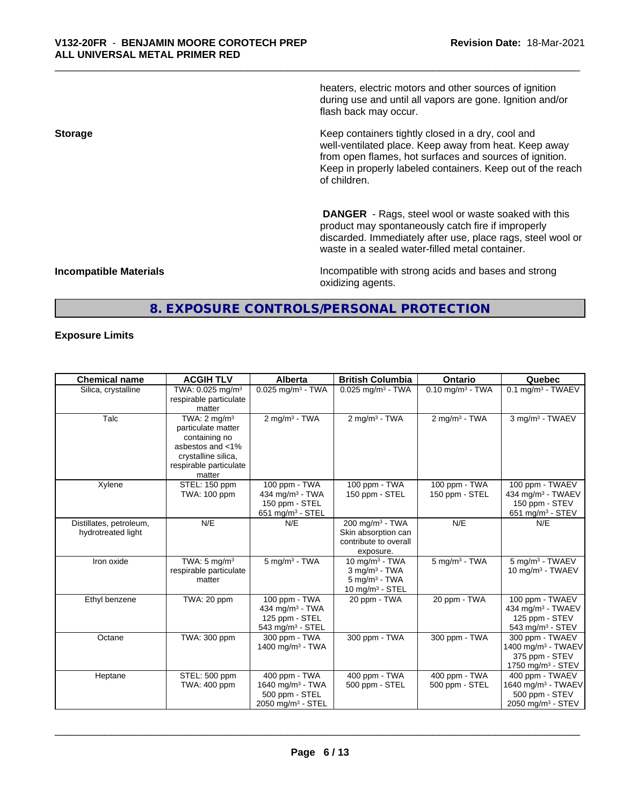heaters, electric motors and other sources of ignition during use and until all vapors are gone. Ignition and/or flash back may occur.

**Storage Keep containers tightly closed in a dry, cool and <b>Keep** containers tightly closed in a dry, cool and well-ventilated place. Keep away from heat. Keep away from open flames, hot surfaces and sources of ignition. Keep in properly labeled containers. Keep out of the reach of children.

> **DANGER** - Rags, steel wool or waste soaked with this product may spontaneously catch fire if improperly discarded. Immediately after use, place rags, steel wool or waste in a sealed water-filled metal container.

**Incompatible Materials Incompatible with strong acids and bases and strong** oxidizing agents.

# **8. EXPOSURE CONTROLS/PERSONAL PROTECTION**

# **Exposure Limits**

| <b>Chemical name</b>                          | <b>ACGIH TLV</b>                                                                                                                              | <b>Alberta</b>                                                                                 | <b>British Columbia</b>                                                            | <b>Ontario</b>                  | Quebec                                                                                               |
|-----------------------------------------------|-----------------------------------------------------------------------------------------------------------------------------------------------|------------------------------------------------------------------------------------------------|------------------------------------------------------------------------------------|---------------------------------|------------------------------------------------------------------------------------------------------|
| Silica, crystalline                           | TWA: 0.025 mg/m <sup>3</sup><br>respirable particulate<br>matter                                                                              | $0.025$ mg/m <sup>3</sup> - TWA                                                                | $0.025$ mg/m <sup>3</sup> - TWA                                                    | $0.10$ mg/m <sup>3</sup> - TWA  | $0.1$ mg/m <sup>3</sup> - TWAEV                                                                      |
| Talc                                          | TWA: $2 \text{ mg/m}^3$<br>particulate matter<br>containing no<br>asbestos and <1%<br>crystalline silica,<br>respirable particulate<br>matter | $2 \text{ mg/m}^3$ - TWA                                                                       | $2$ mg/m <sup>3</sup> - TWA                                                        | $2 \text{ mg/m}^3$ - TWA        | 3 mg/m <sup>3</sup> - TWAEV                                                                          |
| Xylene                                        | STEL: 150 ppm<br>TWA: 100 ppm                                                                                                                 | 100 ppm - TWA<br>434 mg/m <sup>3</sup> - TWA<br>150 ppm - STEL<br>651 mg/m <sup>3</sup> - STEL | 100 ppm - TWA<br>150 ppm - STEL                                                    | 100 ppm - TWA<br>150 ppm - STEL | 100 ppm - TWAEV<br>434 mg/m <sup>3</sup> - TWAEV<br>150 ppm - STEV<br>651 mg/m <sup>3</sup> - STEV   |
| Distillates, petroleum,<br>hydrotreated light | N/E                                                                                                                                           | N/E                                                                                            | 200 mg/m $3 - TWA$<br>Skin absorption can<br>contribute to overall<br>exposure.    | N/E                             | N/E                                                                                                  |
| Iron oxide                                    | TWA: $5 \text{ mg/m}^3$<br>respirable particulate<br>matter                                                                                   | $5 \text{ mg/m}^3$ - TWA                                                                       | 10 $mq/m3$ - TWA<br>$3$ mg/m $3$ - TWA<br>$5$ mg/m $3$ - TWA<br>10 mg/m $3 -$ STEL | $5$ mg/m $3$ - TWA              | 5 mg/m <sup>3</sup> - TWAEV<br>10 mg/m <sup>3</sup> - TWAEV                                          |
| Ethyl benzene                                 | TWA: 20 ppm                                                                                                                                   | 100 ppm - TWA<br>434 mg/m <sup>3</sup> - TWA<br>125 ppm - STEL<br>543 mg/m <sup>3</sup> - STEL | 20 ppm - TWA                                                                       | 20 ppm - TWA                    | 100 ppm - TWAEV<br>434 mg/m $3$ - TWAEV<br>125 ppm - STEV<br>543 mg/m <sup>3</sup> - STEV            |
| Octane                                        | TWA: 300 ppm                                                                                                                                  | 300 ppm - TWA<br>1400 mg/m $3$ - TWA                                                           | 300 ppm - TWA                                                                      | 300 ppm - TWA                   | 300 ppm - TWAEV<br>1400 mg/m <sup>3</sup> - TWAEV<br>375 ppm - STEV<br>1750 mg/m $3 -$ STEV          |
| Heptane                                       | STEL: 500 ppm<br>TWA: 400 ppm                                                                                                                 | 400 ppm - TWA<br>1640 mg/m $3$ - TWA<br>500 ppm - STEL<br>$2050$ mg/m <sup>3</sup> - STEL      | 400 ppm - TWA<br>500 ppm - STEL                                                    | 400 ppm - TWA<br>500 ppm - STEL | 400 ppm - TWAEV<br>1640 mg/m <sup>3</sup> - TWAEV<br>500 ppm - STEV<br>2050 mg/m <sup>3</sup> - STEV |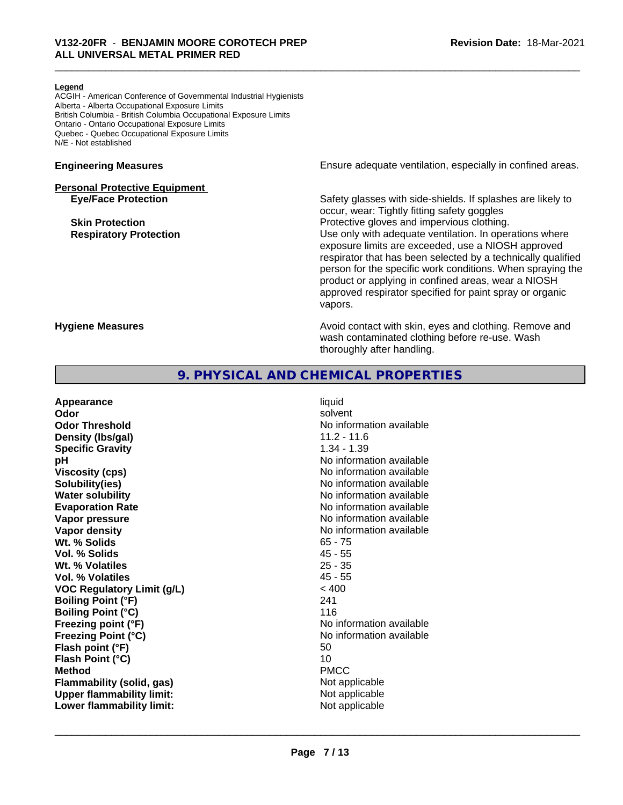#### **Legend**

ACGIH - American Conference of Governmental Industrial Hygienists Alberta - Alberta Occupational Exposure Limits British Columbia - British Columbia Occupational Exposure Limits Ontario - Ontario Occupational Exposure Limits Quebec - Quebec Occupational Exposure Limits N/E - Not established

# **Personal Protective Equipment**

**Engineering Measures Ensure** Ensure adequate ventilation, especially in confined areas.

**Eye/Face Protection** Safety glasses with side-shields. If splashes are likely to occur, wear: Tightly fitting safety goggles **Skin Protection Protection Protective gloves and impervious clothing. Respiratory Protection Number 1** (Use only with adequate ventilation. In operations where exposure limits are exceeded, use a NIOSH approved respirator that has been selected by a technically qualified person for the specific work conditions. When spraying the product or applying in confined areas, wear a NIOSH approved respirator specified for paint spray or organic vapors.

**Hygiene Measures Avoid contact with skin, eyes and clothing. Remove and Avoid contact with skin, eyes and clothing. Remove and Avoid contact with skin, eyes and clothing. Remove and** wash contaminated clothing before re-use. Wash thoroughly after handling.

# **9. PHYSICAL AND CHEMICAL PROPERTIES**

| Appearance                        | liquid                   |
|-----------------------------------|--------------------------|
| Odor                              | solvent                  |
| <b>Odor Threshold</b>             | No information available |
| Density (Ibs/gal)                 | $11.2 - 11.6$            |
| <b>Specific Gravity</b>           | $1.34 - 1.39$            |
| рH                                | No information available |
| <b>Viscosity (cps)</b>            | No information available |
| Solubility(ies)                   | No information available |
| <b>Water solubility</b>           | No information available |
| <b>Evaporation Rate</b>           | No information available |
| Vapor pressure                    | No information available |
| Vapor density                     | No information available |
| Wt. % Solids                      | $65 - 75$                |
| Vol. % Solids                     | $45 - 55$                |
| Wt. % Volatiles                   | $25 - 35$                |
| Vol. % Volatiles                  | $45 - 55$                |
| <b>VOC Regulatory Limit (g/L)</b> | < 400                    |
| <b>Boiling Point (°F)</b>         | 241                      |
| <b>Boiling Point (°C)</b>         | 116                      |
| Freezing point (°F)               | No information available |
| <b>Freezing Point (°C)</b>        | No information available |
| Flash point (°F)                  | 50                       |
| Flash Point (°C)                  | 10                       |
| <b>Method</b>                     | <b>PMCC</b>              |
| Flammability (solid, gas)         | Not applicable           |
| <b>Upper flammability limit:</b>  | Not applicable           |
| Lower flammability limit:         | Not applicable           |
|                                   |                          |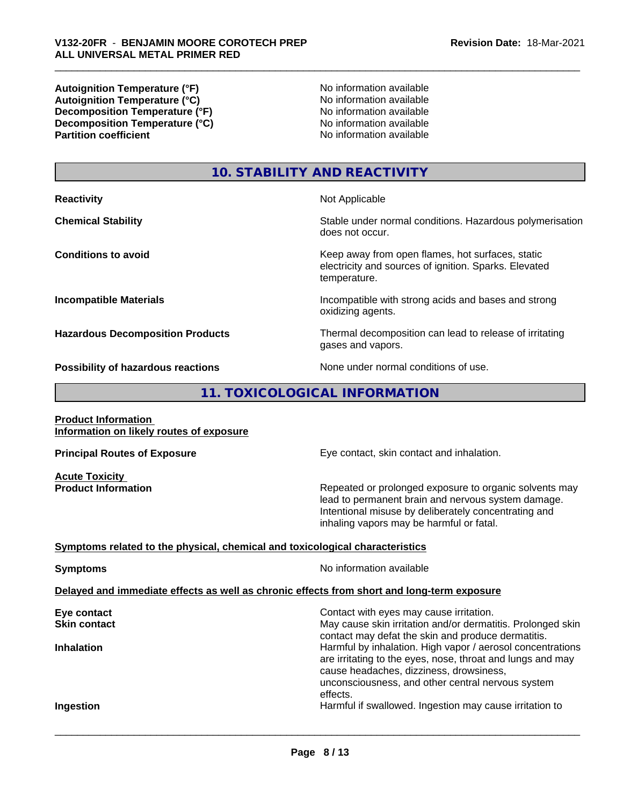**Autoignition Temperature (°F)**<br> **Autoignition Temperature (°C)** No information available **Autoignition Temperature (°C)**<br> **Decomposition Temperature (°F)** No information available<br>
No information available **Decomposition Temperature (°F) Decomposition Temperature (°C)** No information available<br> **Partition coefficient Partition available** 

**No information available** 

# **10. STABILITY AND REACTIVITY**

**Reactivity Not Applicable Not Applicable Chemical Stability Stability** Stable under normal conditions. Hazardous polymerisation does not occur. **Conditions to avoid** Conditions **to avoid** Keep away from open flames, hot surfaces, static electricity and sources of ignition. Sparks. Elevated temperature. **Incompatible Materials Incompatible with strong acids and bases and strong** oxidizing agents. **Hazardous Decomposition Products** Thermal decomposition can lead to release of irritating gases and vapors. **Possibility of hazardous reactions** None under normal conditions of use.

# **11. TOXICOLOGICAL INFORMATION**

**Product Information Information on likely routes of exposure**

**Acute Toxicity** 

**Principal Routes of Exposure Exposure** Eye contact, skin contact and inhalation.

**Product Information Repeated or prolonged exposure to organic solvents may** lead to permanent brain and nervous system damage. Intentional misuse by deliberately concentrating and inhaling vapors may be harmful or fatal.

# **Symptoms related to the physical,chemical and toxicological characteristics**

**Symptoms** No information available

 $\overline{\phantom{a}}$  ,  $\overline{\phantom{a}}$  ,  $\overline{\phantom{a}}$  ,  $\overline{\phantom{a}}$  ,  $\overline{\phantom{a}}$  ,  $\overline{\phantom{a}}$  ,  $\overline{\phantom{a}}$  ,  $\overline{\phantom{a}}$  ,  $\overline{\phantom{a}}$  ,  $\overline{\phantom{a}}$  ,  $\overline{\phantom{a}}$  ,  $\overline{\phantom{a}}$  ,  $\overline{\phantom{a}}$  ,  $\overline{\phantom{a}}$  ,  $\overline{\phantom{a}}$  ,  $\overline{\phantom{a}}$ 

### **Delayed and immediate effects as well as chronic effects from short and long-term exposure**

| Eye contact         | Contact with eyes may cause irritation.                                                                                                                                                                                  |
|---------------------|--------------------------------------------------------------------------------------------------------------------------------------------------------------------------------------------------------------------------|
| <b>Skin contact</b> | May cause skin irritation and/or dermatitis. Prolonged skin<br>contact may defat the skin and produce dermatitis.                                                                                                        |
| <b>Inhalation</b>   | Harmful by inhalation. High vapor / aerosol concentrations<br>are irritating to the eyes, nose, throat and lungs and may<br>cause headaches, dizziness, drowsiness,<br>unconsciousness, and other central nervous system |
| Ingestion           | effects.<br>Harmful if swallowed. Ingestion may cause irritation to                                                                                                                                                      |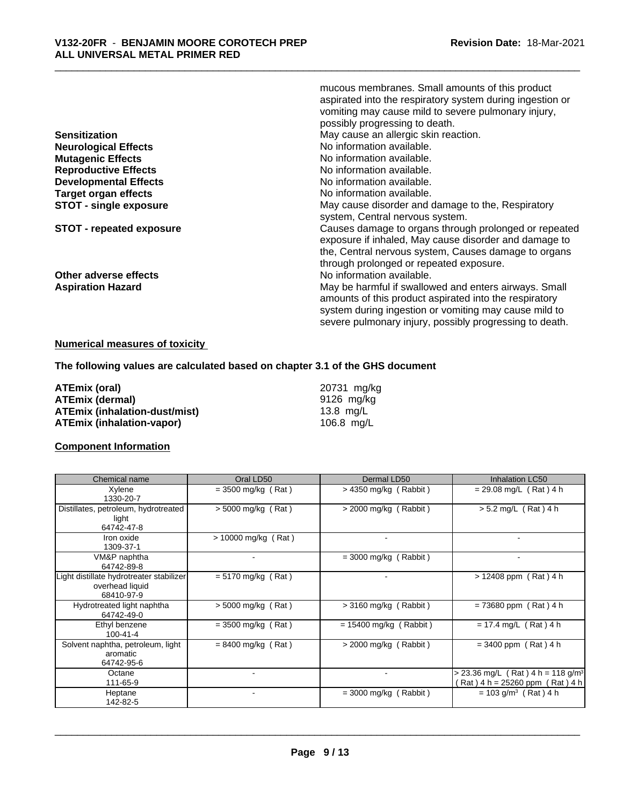|                               | mucous membranes. Small amounts of this product           |
|-------------------------------|-----------------------------------------------------------|
|                               | aspirated into the respiratory system during ingestion or |
|                               | vomiting may cause mild to severe pulmonary injury,       |
|                               | possibly progressing to death.                            |
| <b>Sensitization</b>          | May cause an allergic skin reaction.                      |
| <b>Neurological Effects</b>   | No information available.                                 |
| <b>Mutagenic Effects</b>      | No information available.                                 |
| <b>Reproductive Effects</b>   | No information available.                                 |
| <b>Developmental Effects</b>  | No information available.                                 |
| <b>Target organ effects</b>   | No information available.                                 |
| <b>STOT - single exposure</b> | May cause disorder and damage to the, Respiratory         |
|                               | system, Central nervous system.                           |
| STOT - repeated exposure      | Causes damage to organs through prolonged or repeated     |
|                               | exposure if inhaled, May cause disorder and damage to     |
|                               | the, Central nervous system, Causes damage to organs      |
|                               | through prolonged or repeated exposure.                   |
| Other adverse effects         | No information available.                                 |
| <b>Aspiration Hazard</b>      | May be harmful if swallowed and enters airways. Small     |
|                               | amounts of this product aspirated into the respiratory    |
|                               | system during ingestion or vomiting may cause mild to     |
|                               | severe pulmonary injury, possibly progressing to death.   |
|                               |                                                           |

# **Numerical measures of toxicity**

**The following values are calculated based on chapter 3.1 of the GHS document**

**ATEmix (oral)** 20731 mg/kg<br> **ATEmix (dermal)** 20731 mg/kg<br>
20731 mg/kg **ATEmix (dermal)** 9126 mg/k<br> **ATEmix (inhalation-dust/mist)** 9126 mg/L **ATEmix (inhalation-dust/mist)** 13.8 mg/L<br> **ATEmix (inhalation-vapor)** 106.8 mg/L **ATEmix** (inhalation-vapor)

# **Component Information**

| Chemical name                                                             | Oral LD50                | Dermal LD50              | Inhalation LC50                                                                    |
|---------------------------------------------------------------------------|--------------------------|--------------------------|------------------------------------------------------------------------------------|
| Xylene<br>1330-20-7                                                       | $=$ 3500 mg/kg (Rat)     | $>$ 4350 mg/kg (Rabbit)  | $= 29.08$ mg/L (Rat) 4 h                                                           |
| Distillates, petroleum, hydrotreated<br>light<br>64742-47-8               | $> 5000$ mg/kg (Rat)     | $>$ 2000 mg/kg (Rabbit)  | $> 5.2$ mg/L (Rat) 4 h                                                             |
| Iron oxide<br>1309-37-1                                                   | > 10000 mg/kg (Rat)      | $\blacksquare$           |                                                                                    |
| VM&P naphtha<br>64742-89-8                                                | $\blacksquare$           | $=$ 3000 mg/kg (Rabbit)  |                                                                                    |
| Light distillate hydrotreater stabilizer<br>overhead liquid<br>68410-97-9 | $= 5170$ mg/kg (Rat)     | $\overline{a}$           | $> 12408$ ppm (Rat) 4 h                                                            |
| Hydrotreated light naphtha<br>64742-49-0                                  | $> 5000$ mg/kg (Rat)     | $>$ 3160 mg/kg (Rabbit)  | $= 73680$ ppm (Rat) 4 h                                                            |
| Ethyl benzene<br>$100 - 41 - 4$                                           | $= 3500$ mg/kg (Rat)     | $= 15400$ mg/kg (Rabbit) | $= 17.4$ mg/L (Rat) 4 h                                                            |
| Solvent naphtha, petroleum, light<br>aromatic<br>64742-95-6               | $= 8400$ mg/kg (Rat)     | $>$ 2000 mg/kg (Rabbit)  | $= 3400$ ppm (Rat) 4 h                                                             |
| Octane<br>111-65-9                                                        | $\blacksquare$           |                          | > 23.36 mg/L (Rat) 4 h = 118 g/m <sup>3</sup><br>$(Rat)$ 4 h = 25260 ppm (Rat) 4 h |
| Heptane<br>142-82-5                                                       | $\overline{\phantom{a}}$ | $=$ 3000 mg/kg (Rabbit)  | $= 103$ g/m <sup>3</sup> (Rat) 4 h                                                 |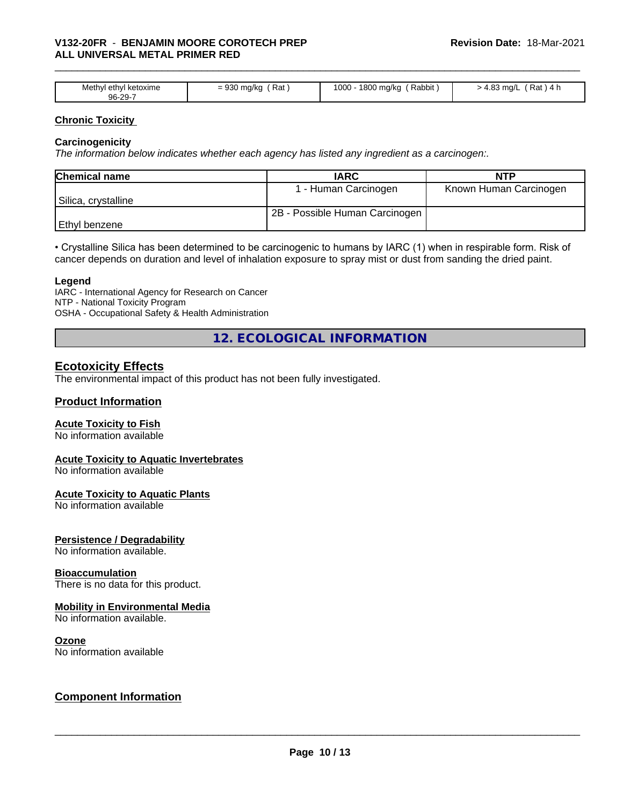| Methyl<br>' ketoxime<br>. ethvl<br>96-29-7 | Rat<br>$\sim$<br>°ma/ku<br>$\cdots$ | Rabbit<br>1800<br>$\sim$<br>, ma/ka<br>ιυυυ<br>. . | ററ<br>Rat<br>ma<br>ישווו כט.<br>. . |
|--------------------------------------------|-------------------------------------|----------------------------------------------------|-------------------------------------|

# **Chronic Toxicity**

# **Carcinogenicity**

*The information below indicateswhether each agency has listed any ingredient as a carcinogen:.*

| <b>Chemical name</b> | <b>IARC</b>                    | NTP                    |
|----------------------|--------------------------------|------------------------|
|                      | 1 - Human Carcinogen           | Known Human Carcinogen |
| Silica, crystalline  |                                |                        |
|                      | 2B - Possible Human Carcinogen |                        |
| Ethyl benzene        |                                |                        |

• Crystalline Silica has been determined to be carcinogenic to humans by IARC (1) when in respirable form. Risk of cancer depends on duration and level of inhalation exposure to spray mist or dust from sanding the dried paint.

#### **Legend**

IARC - International Agency for Research on Cancer NTP - National Toxicity Program OSHA - Occupational Safety & Health Administration

**12. ECOLOGICAL INFORMATION**

# **Ecotoxicity Effects**

The environmental impact of this product has not been fully investigated.

### **Product Information**

# **Acute Toxicity to Fish**

No information available

# **Acute Toxicity to Aquatic Invertebrates**

No information available

#### **Acute Toxicity to Aquatic Plants**

No information available

# **Persistence / Degradability**

No information available.

#### **Bioaccumulation**

There is no data for this product.

# **Mobility in Environmental Media**

No information available.

#### **Ozone**

No information available

# **Component Information**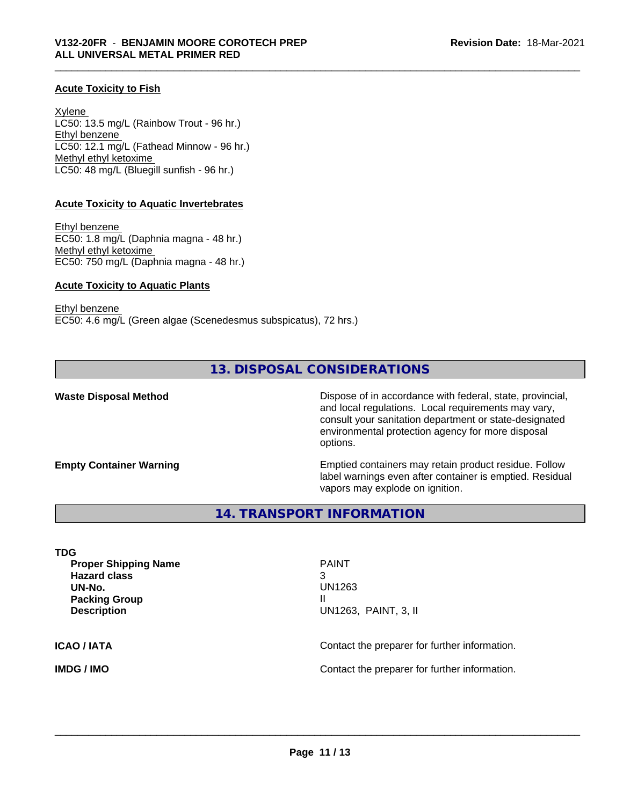# **Acute Toxicity to Fish**

Xylene LC50: 13.5 mg/L (Rainbow Trout - 96 hr.) Ethyl benzene LC50: 12.1 mg/L (Fathead Minnow - 96 hr.) Methyl ethyl ketoxime LC50: 48 mg/L (Bluegill sunfish - 96 hr.)

# **Acute Toxicity to Aquatic Invertebrates**

Ethyl benzene EC50: 1.8 mg/L (Daphnia magna - 48 hr.) Methyl ethyl ketoxime EC50: 750 mg/L (Daphnia magna - 48 hr.)

# **Acute Toxicity to Aquatic Plants**

Ethyl benzene EC50: 4.6 mg/L (Green algae (Scenedesmus subspicatus), 72 hrs.)

# **13. DISPOSAL CONSIDERATIONS**

**Waste Disposal Method Dispose of in accordance with federal, state, provincial,** and local regulations. Local requirements may vary, consult your sanitation department or state-designated environmental protection agency for more disposal options.

**Empty Container Warning <b>Emptied** Containers may retain product residue. Follow label warnings even after container is emptied. Residual vapors may explode on ignition.

# **14. TRANSPORT INFORMATION**

**TDG Proper Shipping Name PAINT Hazard class** 3 **UN-No.** UN1263 **Packing Group III Description** UN1263, PAINT, 3, II **ICAO / IATA** Contact the preparer for further information. **IMDG / IMO Contact the preparer for further information.**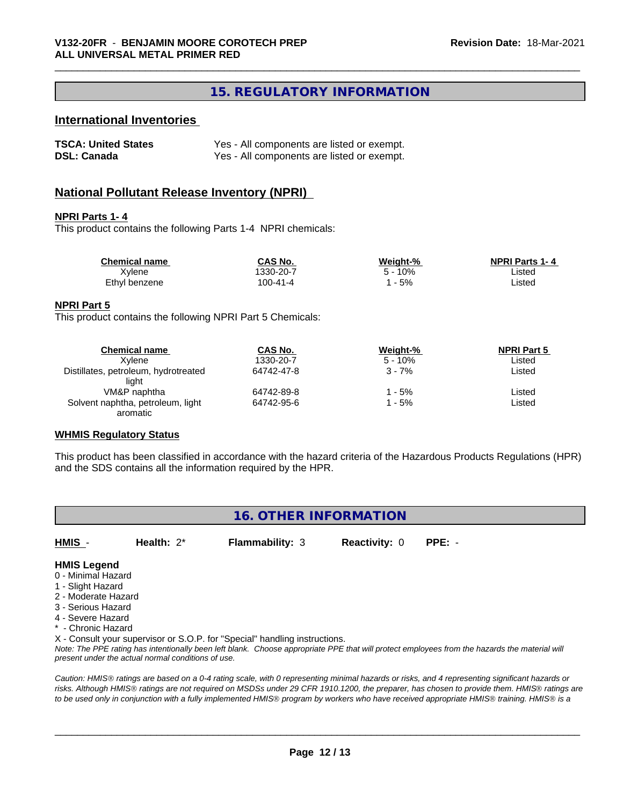# **15. REGULATORY INFORMATION**

# **International Inventories**

| <b>TSCA: United States</b> | Yes - All components are listed or exempt. |
|----------------------------|--------------------------------------------|
| <b>DSL: Canada</b>         | Yes - All components are listed or exempt. |

# **National Pollutant Release Inventory (NPRI)**

#### **NPRI Parts 1- 4**

This product contains the following Parts 1-4 NPRI chemicals:

| <b>Chemical name</b> | CAS No.  | Weight-% | <b>NPRI Parts 1-4</b> |  |
|----------------------|----------|----------|-----------------------|--|
| Xylene               | 330-20-7 | 10%      | ∟isted                |  |
| Ethyl benzene        | 100-41-4 | $-5%$    | ∟isted                |  |

# **NPRI Part 5**

This product contains the following NPRI Part 5 Chemicals:

| <b>Chemical name</b>                          | CAS No.    | Weight-%  | <b>NPRI Part 5</b> |  |
|-----------------------------------------------|------------|-----------|--------------------|--|
| Xvlene                                        | 1330-20-7  | $5 - 10%$ | Listed             |  |
| Distillates, petroleum, hydrotreated<br>liaht | 64742-47-8 | $3 - 7%$  | Listed             |  |
| VM&P naphtha                                  | 64742-89-8 | ' - 5%    | ∟isted             |  |
| Solvent naphtha, petroleum, light<br>aromatic | 64742-95-6 | l - 5%    | ∟isted             |  |

# **WHMIS Regulatory Status**

This product has been classified in accordance with the hazard criteria of the Hazardous Products Regulations (HPR) and the SDS contains all the information required by the HPR.

|                                                                                                                                 |               | 16. OTHER INFORMATION  |                      |          |
|---------------------------------------------------------------------------------------------------------------------------------|---------------|------------------------|----------------------|----------|
| HMIS -                                                                                                                          | Health: $2^*$ | <b>Flammability: 3</b> | <b>Reactivity: 0</b> | $PPE: -$ |
| <b>HMIS Legend</b><br>0 - Minimal Hazard<br>1 - Slight Hazard<br>2 - Moderate Hazard<br>3 - Serious Hazard<br>4 - Severe Hazard |               |                        |                      |          |

- 
- \* Chronic Hazard

X - Consult your supervisor or S.O.P. for "Special" handling instructions.

*Note: The PPE rating has intentionally been left blank. Choose appropriate PPE that will protect employees from the hazards the material will present under the actual normal conditions of use.*

*Caution: HMISÒ ratings are based on a 0-4 rating scale, with 0 representing minimal hazards or risks, and 4 representing significant hazards or risks. Although HMISÒ ratings are not required on MSDSs under 29 CFR 1910.1200, the preparer, has chosen to provide them. HMISÒ ratings are to be used only in conjunction with a fully implemented HMISÒ program by workers who have received appropriate HMISÒ training. HMISÒ is a*